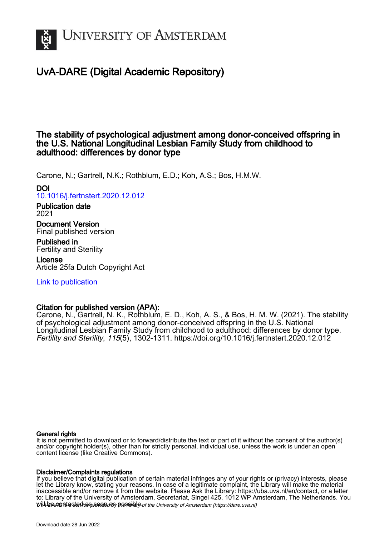

# UvA-DARE (Digital Academic Repository)

# The stability of psychological adjustment among donor-conceived offspring in the U.S. National Longitudinal Lesbian Family Study from childhood to adulthood: differences by donor type

Carone, N.; Gartrell, N.K.; Rothblum, E.D.; Koh, A.S.; Bos, H.M.W.

DOI [10.1016/j.fertnstert.2020.12.012](https://doi.org/10.1016/j.fertnstert.2020.12.012)

Publication date 2021 Document Version

Final published version

Published in Fertility and Sterility

License Article 25fa Dutch Copyright Act

[Link to publication](https://dare.uva.nl/personal/pure/en/publications/the-stability-of-psychological-adjustment-among-donorconceived-offspring-in-the-us-national-longitudinal-lesbian-family-study-from-childhood-to-adulthood-differences-by-donor-type(87df896f-199d-4667-86fc-193d01a752ae).html)

# Citation for published version (APA):

Carone, N., Gartrell, N. K., Rothblum, E. D., Koh, A. S., & Bos, H. M. W. (2021). The stability of psychological adjustment among donor-conceived offspring in the U.S. National Longitudinal Lesbian Family Study from childhood to adulthood: differences by donor type. Fertility and Sterility, 115(5), 1302-1311. <https://doi.org/10.1016/j.fertnstert.2020.12.012>

# General rights

It is not permitted to download or to forward/distribute the text or part of it without the consent of the author(s) and/or copyright holder(s), other than for strictly personal, individual use, unless the work is under an open content license (like Creative Commons).

# Disclaimer/Complaints regulations

will be contacted as sontacty pessible of the University of Amsterdam (https://dare.uva.nl) If you believe that digital publication of certain material infringes any of your rights or (privacy) interests, please let the Library know, stating your reasons. In case of a legitimate complaint, the Library will make the material inaccessible and/or remove it from the website. Please Ask the Library: https://uba.uva.nl/en/contact, or a letter to: Library of the University of Amsterdam, Secretariat, Singel 425, 1012 WP Amsterdam, The Netherlands. You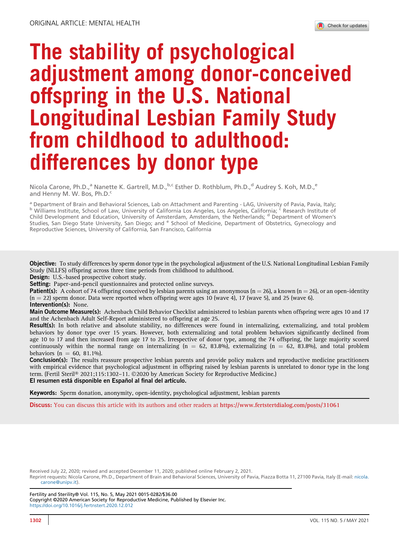# The stability of psychological adjustment among donor-conceived offspring in the U.S. National Longitudinal Lesbian Family Study from childhood to adulthood: differences by donor type

Nicola Carone, Ph.D.,<sup>a</sup> Nanette K. Gartrell, M.D.,<sup>b,c</sup> Esther D. Rothblum, Ph.D.,<sup>d</sup> Audrey S. Koh, M.D.,<sup>e</sup> and Henny M. W. Bos, Ph.D.<sup>c</sup>

<sup>a</sup> Department of Brain and Behavioral Sciences, Lab on Attachment and Parenting - LAG, University of Pavia, Pavia, Italy;<br><sup>b</sup> Williams Institute, School of Law, University of California Los Angeles, Los Angeles, Californi Child Development and Education, University of Amsterdam, Amsterdam, the Netherlands; <sup>d</sup> Department of Women's Studies, San Diego State University, San Diego; and <sup>e</sup> School of Medicine, Department of Obstetrics, Gynecology and Reproductive Sciences, University of California, San Francisco, California

Objective: To study differences by sperm donor type in the psychological adjustment of the U.S. National Longitudinal Lesbian Family Study (NLLFS) offspring across three time periods from childhood to adulthood.

Design: U.S.-based prospective cohort study.

Setting: Paper-and-pencil questionnaires and protected online surveys.

**Patient(s):** A cohort of 74 offspring conceived by lesbian parents using an anonymous  $(n = 26)$ , a known  $(n = 26)$ , or an open-identity  $(n = 22)$  sperm donor. Data were reported when offspring were ages 10 (wave 4), 17 (wave 5), and 25 (wave 6).

# Intervention(s): None.

Main Outcome Measure(s): Achenbach Child Behavior Checklist administered to lesbian parents when offspring were ages 10 and 17 and the Achenbach Adult Self-Report administered to offspring at age 25.

Result(s): In both relative and absolute stability, no differences were found in internalizing, externalizing, and total problem behaviors by donor type over 15 years. However, both externalizing and total problem behaviors significantly declined from age 10 to 17 and then increased from age 17 to 25. Irrespective of donor type, among the 74 offspring, the large majority scored continuously within the normal range on internalizing  $(n = 62, 83.8\%)$ , externalizing  $(n = 62, 83.8\%)$ , and total problem behaviors ( $n = 60, 81.1\%$ ).

Conclusion(s): The results reassure prospective lesbian parents and provide policy makers and reproductive medicine practitioners with empirical evidence that psychological adjustment in offspring raised by lesbian parents is unrelated to donor type in the long term. (Fertil Steril® 2021;115:1302-11. ©2020 by American Society for Reproductive Medicine.) El resumen está disponible en Español al final del artículo.

Keywords: Sperm donation, anonymity, open-identity, psychological adjustment, lesbian parents

Discuss: You can discuss this article with its authors and other readers at <https://www.fertstertdialog.com/posts/31061>

Received July 22, 2020; revised and accepted December 11, 2020; published online February 2, 2021.

Reprint requests: Nicola Carone, Ph.D., Department of Brain and Behavioral Sciences, University of Pavia, Piazza Botta 11, 27100 Pavia, Italy (E-mail: [nicola.](mailto:nicola.carone@unipv.it) [carone@unipv.it\)](mailto:nicola.carone@unipv.it).

Fertility and Sterility® Vol. 115, No. 5, May 2021 0015-0282/\$36.00 Copyright ©2020 American Society for Reproductive Medicine, Published by Elsevier Inc. <https://doi.org/10.1016/j.fertnstert.2020.12.012>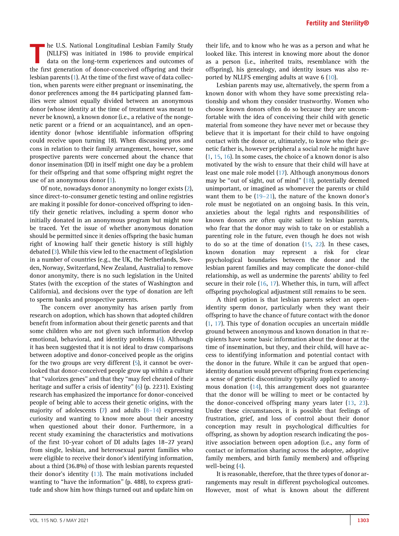The U.S. National Longitudinal Lesbian Family Study<br>
(NLLFS) was initiated in 1986 to provide empirical<br>
data on the long-term experiences and outcomes of<br>
the first generation of donor conceived offening and their (NLLFS) was initiated in 1986 to provide empirical the first generation of donor-conceived offspring and their lesbian parents [\(1](#page-8-0)). At the time of the first wave of data collection, when parents were either pregnant or inseminating, the donor preferences among the 84 participating planned families were almost equally divided between an anonymous donor (whose identity at the time of treatment was meant to never be known), a known donor (i.e., a relative of the nongenetic parent or a friend or an acquaintance), and an openidentity donor (whose identifiable information offspring could receive upon turning 18). When discussing pros and cons in relation to their family arrangement, however, some prospective parents were concerned about the chance that donor insemination (DI) in itself might one day be a problem for their offspring and that some offspring might regret the use of an anonymous donor ([1\)](#page-8-0).

Of note, nowadays donor anonymity no longer exists [\(2](#page-8-1)), since direct-to-consumer genetic testing and online registries are making it possible for donor-conceived offspring to identify their genetic relatives, including a sperm donor who initially donated in an anonymous program but might now be traced. Yet the issue of whether anonymous donation should be permitted since it denies offspring the basic human right of knowing half their genetic history is still highly debated [\(3](#page-8-2)). While this view led to the enactment of legislation in a number of countries (e.g., the UK, the Netherlands, Sweden, Norway, Switzerland, New Zealand, Australia) to remove donor anonymity, there is no such legislation in the United States (with the exception of the states of Washington and California), and decisions over the type of donation are left to sperm banks and prospective parents.

The concern over anonymity has arisen partly from research on adoption, which has shown that adopted children benefit from information about their genetic parents and that some children who are not given such information develop emotional, behavioral, and identity problems ([4\)](#page-8-3). Although it has been suggested that it is not ideal to draw comparisons between adoptive and donor-conceived people as the origins for the two groups are very different [\(5](#page-8-4)), it cannot be overlooked that donor-conceived people grow up within a culture that ''valorizes genes'' and that they ''may feel cheated of their heritage and suffer a crisis of identity" [\(6\)](#page-8-5) (p. 2231). Existing research has emphasized the importance for donor-conceived people of being able to access their genetic origins, with the majority of adolescents ([7\)](#page-8-6) and adults  $(8-14)$  $(8-14)$  expressing curiosity and wanting to know more about their ancestry when questioned about their donor. Furthermore, in a recent study examining the characteristics and motivations of the first 10-year cohort of DI adults (ages 18–27 years) from single, lesbian, and heterosexual parent families who were eligible to receive their donor's identifying information, about a third (36.8%) of those with lesbian parents requested their donor's identity ([13](#page-8-8)). The main motivations included wanting to "have the information" (p. 488), to express gratitude and show him how things turned out and update him on

their life, and to know who he was as a person and what he looked like. This interest in knowing more about the donor as a person (i.e., inherited traits, resemblance with the offspring), his genealogy, and identity issues was also reported by NLLFS emerging adults at wave 6 [\(10](#page-8-9)).

Lesbian parents may use, alternatively, the sperm from a known donor with whom they have some preexisting relationship and whom they consider trustworthy. Women who choose known donors often do so because they are uncomfortable with the idea of conceiving their child with genetic material from someone they have never met or because they believe that it is important for their child to have ongoing contact with the donor or, ultimately, to know who their genetic father is, however peripheral a social role he might have ([1](#page-8-0), [15,](#page-8-10) [16\)](#page-8-11). In some cases, the choice of a known donor is also motivated by the wish to ensure that their child will have at least one male role model ([17\)](#page-8-12). Although anonymous donors may be "out of sight, out of mind" ([18\)](#page-8-13), potentially deemed unimportant, or imagined as whomever the parents or child want them to be (19–[21\)](#page-8-14), the nature of the known donor's role must be negotiated on an ongoing basis. In this vein, anxieties about the legal rights and responsibilities of known donors are often quite salient to lesbian parents, who fear that the donor may wish to take on or establish a parenting role in the future, even though he does not wish to do so at the time of donation [\(15](#page-8-10), [22](#page-8-15)). In these cases, known donation may represent a risk for clear psychological boundaries between the donor and the lesbian parent families and may complicate the donor-child relationship, as well as undermine the parents' ability to feel secure in their role [\(16,](#page-8-11) [17](#page-8-12)). Whether this, in turn, will affect offspring psychological adjustment still remains to be seen.

A third option is that lesbian parents select an openidentity sperm donor, particularly when they want their offspring to have the chance of future contact with the donor ([1](#page-8-0), [17\)](#page-8-12). This type of donation occupies an uncertain middle ground between anonymous and known donation in that recipients have some basic information about the donor at the time of insemination, but they, and their child, will have access to identifying information and potential contact with the donor in the future. While it can be argued that openidentity donation would prevent offspring from experiencing a sense of genetic discontinuity typically applied to anonymous donation [\(14\)](#page-8-16), this arrangement does not guarantee that the donor will be willing to meet or be contacted by the donor-conceived offspring many years later ([13,](#page-8-8) [23](#page-8-17)). Under these circumstances, it is possible that feelings of frustration, grief, and loss of control about their donor conception may result in psychological difficulties for offspring, as shown by adoption research indicating the positive association between open adoption (i.e., any form of contact or information sharing across the adoptee, adoptive family members, and birth family members) and offspring well-being [\(4](#page-8-3)).

It is reasonable, therefore, that the three types of donor arrangements may result in different psychological outcomes. However, most of what is known about the different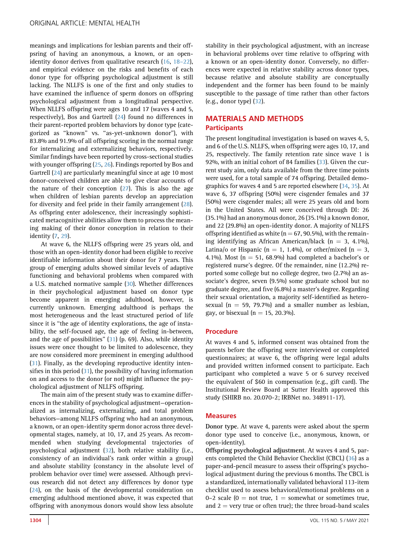meanings and implications for lesbian parents and their offpsring of having an anonymous, a known, or an openidentity donor derives from qualitative research [\(16,](#page-8-11) [18](#page-8-13)–22), and empirical evidence on the risks and benefits of each donor type for offspring psychological adjustment is still lacking. The NLLFS is one of the first and only studies to have examined the influence of sperm donors on offspring psychological adjustment from a longitudinal perspective. When NLLFS offspring were ages 10 and 17 (waves 4 and 5, respectively), Bos and Gartrell [\(24\)](#page-8-18) found no differences in their parent-reported problem behaviors by donor type (categorized as "known" vs. "as-yet-unknown donor"), with 83.8% and 91.9% of all offspring scoring in the normal range for internalizing and externalizing behaviors, respectively. Similar findings have been reported by cross-sectional studies with younger offspring [\(25](#page-8-19), [26](#page-8-20)). Findings reported by Bos and Gartrell [\(24](#page-8-18)) are particularly meaningful since at age 10 most donor-conceived children are able to give clear accounts of the nature of their conception [\(27\)](#page-8-21). This is also the age when children of lesbian parents develop an appreciation for diversity and feel pride in their family arrangement ([28](#page-8-22)). As offspring enter adolescence, their increasingly sophisticated metacognitive abilities allow them to process the meaning making of their donor conception in relation to their identity [\(7](#page-8-6), [29\)](#page-8-23).

At wave 6, the NLLFS offspring were 25 years old, and those with an open-identity donor had been eligible to receive identifiable information about their donor for 7 years. This group of emerging adults showed similar levels of adaptive functioning and behavioral problems when compared with a U.S. matched normative sample [\(30](#page-8-24)). Whether differences in their psychological adjustment based on donor type become apparent in emerging adulthood, however, is currently unknown. Emerging adulthood is perhaps the most heterogeneous and the least structured period of life since it is ''the age of identity explorations, the age of instability, the self-focused age, the age of feeling in-between, and the age of possibilities'' [\(31](#page-9-0)) (p. 69). Also, while identity issues were once thought to be limited to adolescence, they are now considered more preeminent in emerging adulthood [\(31](#page-9-0)). Finally, as the developing reproductive identity intensifies in this period  $(31)$ , the possibility of having information on and access to the donor (or not) might influence the psychological adjustment of NLLFS offspring.

The main aim of the present study was to examine differences in the stability of psychological adjustment—operationalized as internalizing, externalizing, and total problem behaviors—among NLLFS offspring who had an anonymous, a known, or an open-identity sperm donor across three developmental stages, namely, at 10, 17, and 25 years. As recommended when studying developmental trajectories of psychological adjustment ([32](#page-9-1)), both relative stability (i.e., consistency of an individual's rank order within a group) and absolute stability (constancy in the absolute level of problem behavior over time) were assessed. Although previous research did not detect any differences by donor type [\(24](#page-8-18)), on the basis of the developmental consideration on emerging adulthood mentioned above, it was expected that offspring with anonymous donors would show less absolute

stability in their psychological adjustment, with an increase in behavioral problems over time relative to offspring with a known or an open-identity donor. Conversely, no differences were expected in relative stability across donor types, because relative and absolute stability are conceptually independent and the former has been found to be mainly susceptible to the passage of time rather than other factors (e.g., donor type) [\(32\)](#page-9-1).

# MATERIALS AND METHODS **Participants**

The present longitudinal investigation is based on waves 4, 5, and 6 of the U.S. NLLFS, when offspring were ages 10, 17, and 25, respectively. The family retention rate since wave 1 is 92%, with an initial cohort of 84 families [\(33](#page-9-2)). Given the current study aim, only data available from the three time points were used, for a total sample of 74 offspring. Detailed demographics for waves 4 and 5 are reported elsewhere [\(34,](#page-9-3) [35\)](#page-9-4). At wave 6, 37 offspring (50%) were cisgender females and 37 (50%) were cisgender males; all were 25 years old and born in the United States. All were conceived through DI: 26 (35.1%) had an anonymous donor, 26 (35.1%) a known donor, and 22 (29.8%) an open-identity donor. A majority of NLLFS offspring identified as white ( $n = 67, 90.5\%$ ), with the remaining identifying as African American/black ( $n = 3, 4.1\%$ ), Latina/o or Hispanic ( $n = 1$ , 1.4%), or other/mixed ( $n = 3$ , 4.1%). Most ( $n = 51$ , 68.9%) had completed a bachelor's or registered nurse's degree. Of the remainder, nine (12.2%) reported some college but no college degree, two (2.7%) an associate's degree, seven (9.5%) some graduate school but no graduate degree, and five (6.8%) a master's degree. Regarding their sexual orientation, a majority self-identified as heterosexual ( $n = 59$ , 79.7%) and a smaller number as lesbian, gay, or bisexual ( $n = 15$ , 20.3%).

## Procedure

At waves 4 and 5, informed consent was obtained from the parents before the offspring were interviewed or completed questionnaires; at wave 6, the offspring were legal adults and provided written informed consent to participate. Each participant who completed a wave 5 or 6 survey received the equivalent of \$60 in compensation (e.g., gift card). The Institutional Review Board at Sutter Health approved this study (SHIRB no. 20.070-2; IRBNet no. 348911-17).

## **Measures**

Donor type. At wave 4, parents were asked about the sperm donor type used to conceive (i.e., anonymous, known, or open-identity).

Offspring psychological adjustment. At waves 4 and 5, parents completed the Child Behavior Checklist (CBCL) ([36](#page-9-5)) as a paper-and-pencil measure to assess their offspring's psychological adjustment during the previous 6 months. The CBCL is a standardized, internationally validated behavioral 113-item checklist used to assess behavioral/emotional problems on a 0–2 scale ( $0 =$  not true,  $1 =$  somewhat or sometimes true, and  $2 =$  very true or often true); the three broad-band scales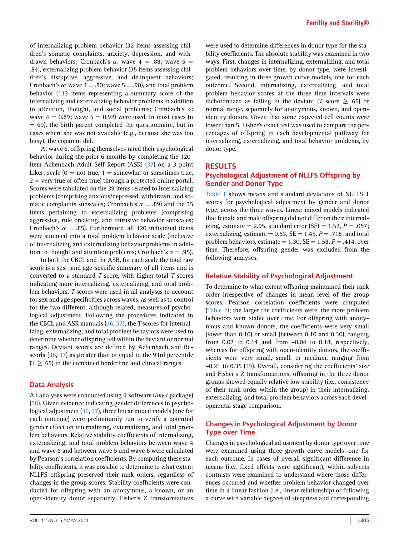of internalizing problem behavior (32 items assessing children's somatic complaints, anxiety, depression, and withdrawn behaviors; Cronbach's  $\alpha$ : wave 4 = .88; wave 5 = .84), externalizing problem behavior (35 items assessing children's disruptive, aggressive, and delinquent behaviors; Cronbach's  $\alpha$ : wave 4 = .80; wave 5 = .90), and total problem behavior (113 items representing a summary score of the internalizing and externalizing behavior problems in addition to attention, thought, and social problems; Cronbach's  $\alpha$ : wave  $4 = 0.89$ ; wave  $5 = 0.92$ ) were used. In most cases (n  $= 69$ ), the birth parent completed the questionnaire, but in cases where she was not available (e.g., because she was too busy), the coparent did.

At wave 6, offspring themselves rated their psychological behavior during the prior 6 months by completing the 120 item Achenbach Adult Self-Report (ASR) [\(37\)](#page-9-6) on a 3-point Likert scale ( $0 = not$  true,  $1 =$  somewhat or sometimes true,  $2 =$  very true or often true) through a protected online portal. Scores were tabulated on the 39 items related to internalizing problems (comprising anxious/depressed, withdrawn, and somatic complaints subscales; Cronbach's  $\alpha = .89$ ) and the 35 items pertaining to externalizing problems (comprising aggressive, rule breaking, and intrusive behavior subscales; Cronbach's  $\alpha = .85$ ). Furthermore, all 120 individual items were summed into a total problem behavior scale (inclusive of internalizing and externalizing behavior problems in addition to thought and attention problems; Cronbach's  $\alpha = .95$ ).

In both the CBCL and the ASR, for each scale the total raw score is a sex- and age-specific summary of all items and is converted to a standard  $T$  score, with higher total  $T$  scores indicating more internalizing, externalizing, and total problem behaviors. T scores were used in all analyses to account for sex and age specificities across waves, as well as to control for the two different, although related, measures of psychological adjustment. Following the procedures indicated in the CBCL and ASR manuals  $(36, 37)$  $(36, 37)$  $(36, 37)$  $(36, 37)$  $(36, 37)$ , the T scores for internalizing, externalizing, and total problem behaviors were used to determine whether offspring fell within the deviant or normal ranges. Deviant scores are defined by Achenbach and Rescorla [\(36,](#page-9-5) [37](#page-9-6)) as greater than or equal to the 93rd percentile  $(T \ge 65)$  in the combined borderline and clinical ranges.

## Data Analysis

All analyses were conducted using R software (lme4 package) [\(38](#page-9-7)). Given evidence indicating gender differences in psychological adjustment [\(36](#page-9-5), [37\)](#page-9-6), three linear mixed models (one for each outcome) were preliminarily run to verify a potential gender effect on internalizing, externalizing, and total problem behaviors. Relative stability coefficients of internalizing, externalizing, and total problem behaviors between wave 4 and wave 6 and between wave 5 and wave 6 were calculated by Pearson's correlation coefficients. By computing these stability coefficients, it was possible to determine to what extent NLLFS offspring preserved their rank orders, regardless of changes in the group scores. Stability coefficients were conducted for offspring with an anonymous, a known, or an open-identity donor separately. Fisher's Z transformations

were used to determine differences in donor type for the stability coefficients. The absolute stability was examined in two ways. First, changes in internalizing, externalizing, and total problem behaviors over time, by donor type, were investigated, resulting in three growth curve models, one for each outcome. Second, internalizing, externalizing, and total problem behavior scores at the three time intervals were dichotomized as falling in the deviant (T score  $\geq$  65) or normal range, separately for anonymous, known, and openidentity donors. Given that some expected cell counts were lower than 5, Fisher's exact test was used to compare the percentages of offspring in each developmental pathway for internalizing, externalizing, and total behavior problems, by donor type.

# RESULTS

# Psychological Adjustment of NLLFS Offspring by Gender and Donor Type

[Table 1](#page-5-0) shows means and standard deviations of NLLFS T scores for psychological adjustment by gender and donor type, across the three waves. Linear mixed models indicated that female and male offspring did not differ on their internalizing, estimate = 2.95, standard error (SE) = 1.52,  $P = .057$ ; externalizing, estimate = 0.53,  $SE = 1.45$ ,  $P = .718$ ; and total problem behaviors, estimate = 1.30,  $SE = 1.58$ ,  $P = .414$ , over time. Therefore, offspring gender was excluded from the following analyses.

## Relative Stability of Psychological Adjustment

To determine to what extent offspring maintained their rank order irrespective of changes in mean level of the group scores, Pearson correlation coefficients were computed ([Table 2](#page-6-0)); the larger the coefficients were, the more problem behaviors were stable over time. For offspring with anonymous and known donors, the coefficients were very small (lower than 0.10) or small (between 0.10 and 0.30), ranging from 0.02 to 0.14 and from –0.04 to 0.18, respectively, whereas for offspring with open-identity donors, the coefficients were very small, small, or medium, ranging from –0.21 to 0.35 ([39](#page-9-8)). Overall, considering the coefficients' size and Fisher's Z transformations, offspring in the three donor groups showed equally relative low stability (i.e., consistency of their rank order within the group) in their internalizing, externalizing, and total problem behaviors across each developmental stage comparison.

# Changes in Psychological Adjustment by Donor Type over Time

Changes in psychological adjustment by donor type over time were examined using three growth curve models—one for each outcome. In cases of overall significant difference in means (i.e., fixed effects were significant), within-subjects contrasts were examined to understand where those differences occurred and whether problem behavior changed over time in a linear fashion (i.e., linear relationship) or following a curve with variable degrees of steepness and corresponding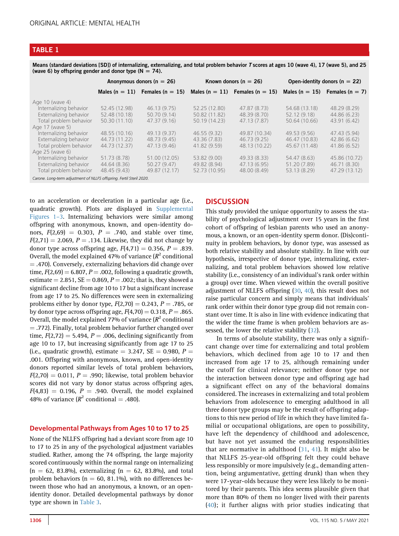# <span id="page-5-0"></span>TABLE 1

Means (standard deviations [SD]) of internalizing, externalizing, and total problem behavior T scores at ages 10 (wave 4), 17 (wave 5), and 25 (wave 6) by offspring gender and donor type ( $N = 74$ ).

|                                                                      | Anonymous donors ( $n = 26$ ) |                                                                         | Known donors ( $n = 26$ ) |               | Open-identity donors ( $n = 22$ ) |                                        |
|----------------------------------------------------------------------|-------------------------------|-------------------------------------------------------------------------|---------------------------|---------------|-----------------------------------|----------------------------------------|
|                                                                      |                               | Males $(n = 11)$ Females $(n = 15)$ Males $(n = 11)$ Females $(n = 15)$ |                           |               |                                   | Males ( $n = 15$ ) Females ( $n = 7$ ) |
| Age 10 (wave 4)                                                      |                               |                                                                         |                           |               |                                   |                                        |
| Internalizing behavior                                               | 52.45 (12.98)                 | 46.13(9.75)                                                             | 52.25 (12.80)             | 47.87 (8.73)  | 54.68 (13.18)                     | 48.29 (8.29)                           |
| Externalizing behavior                                               | 52.48 (10.18)                 | 50.70(9.14)                                                             | 50.82 (11.82)             | 48.39 (8.70)  | 52.12 (9.18)                      | 44.86 (6.23)                           |
| Total problem behavior                                               | 50.30 (11.10)                 | 47.37(9.16)                                                             | 50.19 (14.23)             | 47.13(7.87)   | 50.64 (10.66)                     | 43.91 (6.42)                           |
| Age 17 (wave 5)                                                      |                               |                                                                         |                           |               |                                   |                                        |
| Internalizing behavior                                               | 48.55 (10.16)                 | 49.13 (9.37)                                                            | 46.55 (9.32)              | 49.87 (10.34) | 49.53 (9.56)                      | 47.43 (5.94)                           |
| Externalizing behavior                                               | 44.73 (11.22)                 | 48.73 (9.45)                                                            | 43.36 (7.83)              | 46.73(9.25)   | 46.47 (10.83)                     | 42.86(6.62)                            |
| Total problem behavior                                               | 44.73 (12.37)                 | 47.13 (9.46)                                                            | 41.82 (9.59)              | 48.13 (10.22) | 45.67 (11.48)                     | 41.86(6.52)                            |
| Age 25 (wave 6)                                                      |                               |                                                                         |                           |               |                                   |                                        |
| Internalizing behavior                                               | 51.73 (8.78)                  | 51.00 (12.05)                                                           | 53.82 (9.00)              | 49.33 (8.33)  | 54.47 (8.63)                      | 45.86 (10.72)                          |
| Externalizing behavior                                               | 44.64 (8.36)                  | 50.27(9.47)                                                             | 49.82 (8.94)              | 47.13 (6.95)  | 51.20 (7.89)                      | 46.71 (8.30)                           |
| Total problem behavior                                               | 48.45 (9.43)                  | 49.87 (12.17)                                                           | 52.73 (10.95)             | 48.00 (8.49)  | 53.13 (8.29)                      | 47.29 (13.12)                          |
| Carone. Long-term adjustment of NLLFS offspring. Fertil Steril 2020. |                               |                                                                         |                           |               |                                   |                                        |

to an acceleration or deceleration in a particular age (i.e., quadratic growth). Plots are displayed in [Supplemental](#page-9-9) [Figures 1](#page-9-9)–3. Internalizing behaviors were similar among offspring with anonymous, known, and open-identity donors,  $F(2,69) = 0.303$ ,  $P = .740$ , and stable over time,  $F(2,71) = 2.069$ ,  $P = .134$ . Likewise, they did not change by donor type across offspring age,  $F(4,71) = 0.356$ ,  $P = .839$ . Overall, the model explained 47% of variance  $(R^2$  conditional  $=$  .470). Conversely, externalizing behaviors did change over time,  $F(2,69) = 6.807$ ,  $P = .002$ , following a quadratic growth, estimate  $= 2.851$ , SE  $= 0.869$ ,  $P = .002$ ; that is, they showed a significant decline from age 10 to 17 but a significant increase from age 17 to 25. No differences were seen in externalizing problems either by donor type,  $F(2,70) = 0.243$ ,  $P = .785$ , or by donor type across offspring age,  $F(4,70) = 0.318$ ,  $P = .865$ . Overall, the model explained 77% of variance  $(R^2$  conditional  $=$  .772). Finally, total problem behavior further changed over time,  $F(2,72) = 5.494$ ,  $P = .006$ , declining significantly from age 10 to 17, but increasing significantly from age 17 to 25 (i.e., quadratic growth), estimate  $= 3.247$ , SE  $= 0.980$ , P  $=$ .001. Offspring with anonymous, known, and open-identity donors reported similar levels of total problem behaviors,  $F(2,70) = 0.011$ ,  $P = .990$ ; likewise, total problem behavior scores did not vary by donor status across offspring ages,  $F(4,83) = 0.196$ ,  $P = .940$ . Overall, the model explained 48% of variance  $(R^2 \text{ conditional} = .480)$ .

# Developmental Pathways from Ages 10 to 17 to 25

None of the NLLFS offspring had a deviant score from age 10 to 17 to 25 in any of the psychological adjustment variables studied. Rather, among the 74 offspring, the large majority scored continuously within the normal range on internalizing  $(n = 62, 83.8\%)$ , externalizing  $(n = 62, 83.8\%)$ , and total problem behaviors ( $n = 60, 81.1\%$ ), with no differences between those who had an anonymous, a known, or an openidentity donor. Detailed developmental pathways by donor type are shown in [Table 3.](#page-7-0)

# **DISCUSSION**

This study provided the unique opportunity to assess the stability of psychological adjustment over 15 years in the first cohort of offspring of lesbian parents who used an anonymous, a known, or an open-identity sperm donor. (Dis)continuity in problem behaviors, by donor type, was assessed as both relative stability and absolute stability. In line with our hypothesis, irrespective of donor type, internalizing, externalizing, and total problem behaviors showed low relative stability (i.e., consistency of an individual's rank order within a group) over time. When viewed within the overall positive adjustment of NLLFS offspring ([30](#page-8-24), [40](#page-9-10)), this result does not raise particular concern and simply means that individuals' rank order within their donor type group did not remain constant over time. It is also in line with evidence indicating that the wider the time frame is when problem behaviors are assessed, the lower the relative stability ([32\)](#page-9-1).

In terms of absolute stability, there was only a significant change over time for externalizing and total problem behaviors, which declined from age 10 to 17 and then increased from age 17 to 25, although remaining under the cutoff for clinical relevance; neither donor type nor the interaction between donor type and offspring age had a significant effect on any of the behavioral domains considered. The increases in externalizing and total problem behaviors from adolescence to emerging adulthood in all three donor type groups may be the result of offspring adaptions to this new period of life in which they have limited familial or occupational obligations, are open to possibility, have left the dependency of childhood and adolescence, but have not yet assumed the enduring responsibilities that are normative in adulthood [\(31](#page-9-0), [41\)](#page-9-11). It might also be that NLLFS 25-year-old offspring felt they could behave less responsibly or more impulsively (e.g., demanding attention, being argumentative, getting drunk) than when they were 17-year-olds because they were less likely to be monitored by their parents. This idea seems plausible given that more than 80% of them no longer lived with their parents ([40\)](#page-9-10); it further aligns with prior studies indicating that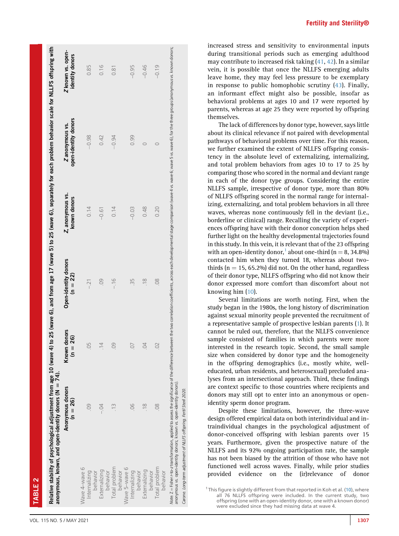ABLE

<span id="page-6-0"></span>

|                           | anonymous, known, and open-identity donors (N = 74).                                                                                                                                                                                                                                                  |                            |                                    |                                  |                                        |                                      |
|---------------------------|-------------------------------------------------------------------------------------------------------------------------------------------------------------------------------------------------------------------------------------------------------------------------------------------------------|----------------------------|------------------------------------|----------------------------------|----------------------------------------|--------------------------------------|
|                           | Anonymous donors<br>$(n = 26)$                                                                                                                                                                                                                                                                        | Known donors<br>$(n = 26)$ | Open-identity donors<br>$(n = 22)$ | Z, anonymous vs.<br>known donors | open-identity donors<br>Zanonymous vs. | Z known vs. open-<br>identity donors |
| Wave 4-wave 6             |                                                                                                                                                                                                                                                                                                       |                            |                                    |                                  |                                        |                                      |
| Internalizing<br>behavior |                                                                                                                                                                                                                                                                                                       | 05                         | $-.21$                             | 0.14                             | $-0.98$                                | 0.85                                 |
| Externalizing             |                                                                                                                                                                                                                                                                                                       | $\overline{4}$             | .09                                | $-0.61$                          | 0.42                                   | 0.16                                 |
| Total problem<br>behavior |                                                                                                                                                                                                                                                                                                       | $\overline{0}$             | $-16$                              | 0.14                             | $-0.94$                                | 0.81                                 |
| behavior                  |                                                                                                                                                                                                                                                                                                       |                            |                                    |                                  |                                        |                                      |
| Wave 5-wave 6             |                                                                                                                                                                                                                                                                                                       |                            |                                    |                                  |                                        |                                      |
| Internalizing<br>behavior | 80                                                                                                                                                                                                                                                                                                    | $\overline{0}$             | 35                                 | $-0.03$                          | 0.99                                   | $-0.95$                              |
| Externalizing             | $\frac{8}{18}$                                                                                                                                                                                                                                                                                        | 04                         | $\frac{8}{1}$                      | 0.48                             | $\circ$                                | $-0.46$                              |
| Total problem<br>behavior | 80                                                                                                                                                                                                                                                                                                    | $\Omega$                   | $\frac{8}{2}$                      | 0.20                             | $\circ$                                | $-0.19$                              |
| behavior                  | Note. Z = Fisher < to-z transformation, applied to assess the significance of the difference between the two correlation coefficients, across each developmental stage comparison (wave 4 vs. wave 6; wave 6; for the three gr<br>anonymous vs. open-identity donors; known vs. open-identity donors) |                            |                                    |                                  |                                        |                                      |

Fertility and Sterility®

increased stress and sensitivity to environmental inputs during transitional periods such as emerging adulthood may contribute to increased risk taking ([41,](#page-9-11) [42](#page-9-12)). In a similar vein, it is possible that once the NLLFS emerging adults leave home, they may feel less pressure to be exemplary in response to public homophobic scrutiny ([43\)](#page-9-13). Finally, an informant effect might also be possible, insofar as behavioral problems at ages 10 and 17 were reported by parents, whereas at age 25 they were reported by offspring themselves.

The lack of differences by donor type, however, says little about its clinical relevance if not paired with developmental pathways of behavioral problems over time. For this reason, we further examined the extent of NLLFS offspring consistency in the absolute level of externalizing, internalizing, and total problem behaviors from ages 10 to 17 to 25 by comparing those who scored in the normal and deviant range in each of the donor type groups. Considering the entire NLLFS sample, irrespective of donor type, more than 80% of NLLFS offspring scored in the normal range for internalizing, externalizing, and total problem behaviors in all three waves, whereas none continuously fell in the deviant (i.e., borderline or clinical) range. Recalling the variety of experiences offspring have with their donor conception helps shed further light on the healthy developmental trajectories found in this study. In this vein, it is relevant that of the 23 offspring with an open-identity donor,<sup>[1](#page-6-1)</sup> about one-third (n = 8, 34.8%) contacted him when they turned 18, whereas about twothirds ( $n = 15$ , 65.2%) did not. On the other hand, regardless of their donor type, NLLFS offspring who did not know their donor expressed more comfort than discomfort about not knowing him ([10\)](#page-8-9).

Several limitations are worth noting. First, when the study began in the 1980s, the long history of discrimination against sexual minority people prevented the recruitment of a representative sample of prospective lesbian parents [\(1\)](#page-8-0). It cannot be ruled out, therefore, that the NLLFS convenience sample consisted of families in which parents were more interested in the research topic. Second, the small sample size when considered by donor type and the homogeneity in the offspring demographics (i.e., mostly white, welleducated, urban residents, and heterosexual) precluded analyses from an intersectional approach. Third, these findings are context specific to those countries where recipients and donors may still opt to enter into an anonymous or openidentity sperm donor program.

Despite these limitations, however, the three-wave design offered empirical data on both interindividual and intraindividual changes in the psychological adjustment of donor-conceived offspring with lesbian parents over 15 years. Furthermore, given the prospective nature of the NLLFS and its 92% ongoing participation rate, the sample has not been biased by the attrition of those who have not functioned well across waves. Finally, while prior studies provided evidence on the (ir)relevance of donor

Carone. Long-term adjustment of NLLFS offspring. Fertil Steril 2020.

Carone. Long-term adjustment of NLLFS offspring. Fertil Steril 2020

<span id="page-6-1"></span><sup>&</sup>lt;sup>1</sup> This figure is slightly different from that reported in Koh et al. [\(10](#page-8-9)), where all 76 NLLFS offspring were included. In the current study, two offspring (one with an open-identity donor, one with a known donor) were excluded since they had missing data at wave 4.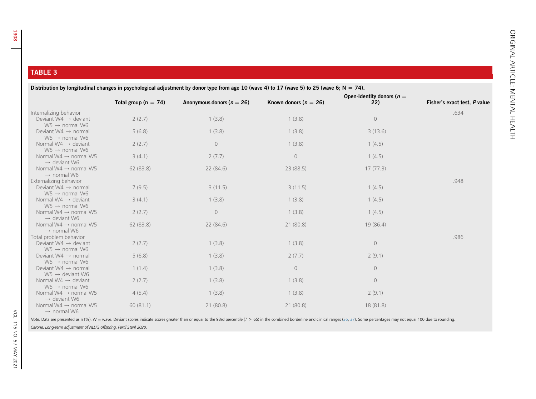# <span id="page-7-0"></span>TABLE 3

| Distribution by longitudinal changes in psychological adjustment by donor type from age 10 (wave 4) to 17 (wave 5) to 25 (wave 6; N = 74). |                          |                               |                           |                                     |                              |  |  |
|--------------------------------------------------------------------------------------------------------------------------------------------|--------------------------|-------------------------------|---------------------------|-------------------------------------|------------------------------|--|--|
|                                                                                                                                            | Total group ( $n = 74$ ) | Anonymous donors ( $n = 26$ ) | Known donors ( $n = 26$ ) | Open-identity donors ( $n =$<br>22) | Fisher's exact test, P value |  |  |
| Internalizing behavior                                                                                                                     |                          |                               |                           |                                     | .634                         |  |  |
| Deviant $W4 \rightarrow$ deviant<br>$W5 \rightarrow$ normal W6                                                                             | 2(2.7)                   | 1(3.8)                        | 1(3.8)                    | $\circledcirc$                      |                              |  |  |
| Deviant W4 $\rightarrow$ normal<br>$W5 \rightarrow$ normal W6                                                                              | 5(6.8)                   | 1(3.8)                        | 1(3.8)                    | 3(13.6)                             |                              |  |  |
| Normal W4 $\rightarrow$ deviant<br>$W5 \rightarrow$ normal W6                                                                              | 2(2.7)                   | $\circ$                       | 1(3.8)                    | 1(4.5)                              |                              |  |  |
| Normal W4 $\rightarrow$ normal W5<br>$\rightarrow$ deviant W6                                                                              | 3(4.1)                   | 2(7.7)                        | $\circ$                   | 1(4.5)                              |                              |  |  |
| Normal W4 $\rightarrow$ normal W5<br>$\rightarrow$ normal W6                                                                               | 62(83.8)                 | 22(84.6)                      | 23(88.5)                  | 17(77.3)                            |                              |  |  |
| Externalizing behavior<br>Deviant $W4 \rightarrow$ normal<br>$W5 \rightarrow$ normal W6                                                    | 7(9.5)                   | 3(11.5)                       | 3(11.5)                   | 1(4.5)                              | .948                         |  |  |
| Normal W4 $\rightarrow$ deviant<br>$W5 \rightarrow$ normal W6                                                                              | 3(4.1)                   | 1(3.8)                        | 1(3.8)                    | 1(4.5)                              |                              |  |  |
| Normal W4 $\rightarrow$ normal W5<br>$\rightarrow$ deviant W6                                                                              | 2(2.7)                   | $\circlearrowright$           | 1(3.8)                    | 1(4.5)                              |                              |  |  |
| Normal W4 $\rightarrow$ normal W5<br>$\rightarrow$ normal W6                                                                               | 62(83.8)                 | 22(84.6)                      | 21(80.8)                  | 19(86.4)                            |                              |  |  |
| Total problem behavior<br>Deviant W4 $\rightarrow$ deviant<br>$W5 \rightarrow$ normal W6                                                   | 2(2.7)                   | 1(3.8)                        | 1(3.8)                    | $\circ$                             | .986                         |  |  |
| Deviant $W4 \rightarrow$ normal<br>$W5 \rightarrow$ normal W6                                                                              | 5(6.8)                   | 1(3.8)                        | 2(7.7)                    | 2(9.1)                              |                              |  |  |
| Deviant W4 $\rightarrow$ normal<br>$W5 \rightarrow$ deviant W6                                                                             | 1(1.4)                   | 1(3.8)                        | $\circ$                   | $\circ$                             |                              |  |  |
| Normal W4 $\rightarrow$ deviant<br>$W5 \rightarrow$ normal W6                                                                              | 2(2.7)                   | 1(3.8)                        | 1(3.8)                    | $\circ$                             |                              |  |  |
| Normal W4 $\rightarrow$ normal W5<br>$\rightarrow$ deviant W6                                                                              | 4(5.4)                   | 1(3.8)                        | 1(3.8)                    | 2(9.1)                              |                              |  |  |
| Normal W4 $\rightarrow$ normal W5<br>$\rightarrow$ normal W6                                                                               | 60(81.1)                 | 21(80.8)                      | 21(80.8)                  | 18(81.8)                            |                              |  |  |

Note. Data are presented as n (%). W = wave. Deviant scores indicate scores greater than or equal to the 93rd percentile (T ≥ 65) in the combined borderline and clinical ranges ([36](#page-9-14), [37](#page-9-15)). Some percentages may not equal 100

Carone. Long-term adjustment of NLLFS offspring. Fertil Steril 2020.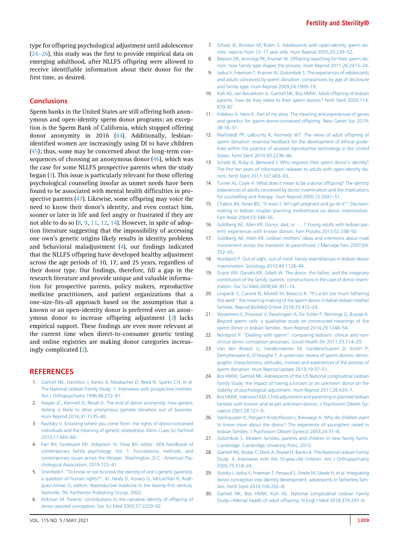type for offspring psychological adjustment until adolescence [\(24](#page-8-18)–26), this study was the first to provide empirical data on emerging adulthood, after NLLFS offspring were allowed to receive identifiable information about their donor for the first time, as desired.

# **Conclusions**

Sperm banks in the United States are still offering both anonymous and open-identity sperm donor programs; an exception is the Sperm Bank of California, which stopped offering donor anonymity in 2016 ([44](#page-9-16)). Additionally, lesbianidentified women are increasingly using DI to have children [\(45](#page-9-17)); thus, some may be concerned about the long-term consequences of choosing an anonymous donor ([46\)](#page-9-18), which was the case for some NLLFS prospective parents when the study began [\(1](#page-8-0)). This issue is particularly relevant for those offering psychological counseling insofar as unmet needs have been found to be associated with mental health difficulties in prospective parents ([47\)](#page-9-19). Likewise, some offspring may voice the need to know their donor's identity, and even contact him, sooner or later in life and feel angry or frustrated if they are not able to do so  $(8, 9, 11, 12, 14)$  $(8, 9, 11, 12, 14)$  $(8, 9, 11, 12, 14)$  $(8, 9, 11, 12, 14)$  $(8, 9, 11, 12, 14)$  $(8, 9, 11, 12, 14)$  $(8, 9, 11, 12, 14)$  $(8, 9, 11, 12, 14)$  $(8, 9, 11, 12, 14)$  $(8, 9, 11, 12, 14)$ . However, in spite of adoption literature suggesting that the impossibility of accessing one own's genetic origins likely results in identity problems and behavioral maladjustment ([4\)](#page-8-3), our findings indicated that the NLLFS offspring have developed healthy adjustment across the age periods of 10, 17, and 25 years, regardless of their donor type. Our findings, therefore, fill a gap in the research literature and provide unique and valuable information for prospective parents, policy makers, reproductive medicine practitioners, and patient organizations that a one-size-fits-all approach based on the assumption that a known or an open-identity donor is preferred over an anonymous donor to increase offspring adjustment [\(3](#page-8-2)) lacks empirical support. These findings are even more relevant at the current time when direct-to-consumer genetic testing and online registries are making donor categories increasingly complicated ([2\)](#page-8-1).

## <span id="page-8-0"></span>**REFERENCES**

- <span id="page-8-1"></span>1. [Gartrell NK, Hamilton J, Banks A, Mosbacher D, Reed N, Sparks CH, et al.](http://refhub.elsevier.com/S0015-0282(20)32754-0/sref1) [The National Lesbian Family Study: 1. Interviews with prospective mothers.](http://refhub.elsevier.com/S0015-0282(20)32754-0/sref1) [Am J Orthopsychiatry 1996;66:272](http://refhub.elsevier.com/S0015-0282(20)32754-0/sref1)–81.
- <span id="page-8-2"></span>2. [Harper JC, Kennett D, Reisel D. The end of donor anonymity: how genetic](http://refhub.elsevier.com/S0015-0282(20)32754-0/sref2) [testing is likely to drive anonymous gamete donation out of business.](http://refhub.elsevier.com/S0015-0282(20)32754-0/sref2) [Hum Reprod 2016;31:1135](http://refhub.elsevier.com/S0015-0282(20)32754-0/sref2)–40.
- <span id="page-8-3"></span>3. [Ravitsky V. Knowing where you come from: the rights of donor-conceived](http://refhub.elsevier.com/S0015-0282(20)32754-0/sref3) [individuals and the meaning of genetic relatedness. Minn J Law Sci Technol](http://refhub.elsevier.com/S0015-0282(20)32754-0/sref3) [2010;11:665](http://refhub.elsevier.com/S0015-0282(20)32754-0/sref3)–84.
- <span id="page-8-4"></span>4. [Farr RH, Grotevant HD. Adoption. In: Fiese BH, editor. APA handbook of](http://refhub.elsevier.com/S0015-0282(20)32754-0/sref4) [contemporary family psychology: Vol. 1. Foundations, methods, and](http://refhub.elsevier.com/S0015-0282(20)32754-0/sref4) [contemporary issues across the lifespan. Washington, D.C.: American Psy](http://refhub.elsevier.com/S0015-0282(20)32754-0/sref4)[chological Association; 2019:725](http://refhub.elsevier.com/S0015-0282(20)32754-0/sref4)–41.
- 5. Shenfi[eld F.](http://refhub.elsevier.com/S0015-0282(20)32754-0/sref5) ''[To know or not to know the identity of one](http://refhub.elsevier.com/S0015-0282(20)32754-0/sref5)'s genetic parent(s): [a question of human rights?](http://refhub.elsevier.com/S0015-0282(20)32754-0/sref5)''[. In: Healy D, Kovacs G, McLachlan R, Rodr](http://refhub.elsevier.com/S0015-0282(20)32754-0/sref5)[guez-Armas O, editors. Reproductive medicine in the twenty-](http://refhub.elsevier.com/S0015-0282(20)32754-0/sref5)first century. [Nashville, TN: Parthenon Publishing Group; 2002.](http://refhub.elsevier.com/S0015-0282(20)32754-0/sref5)
- <span id="page-8-5"></span>6. Kirkman M. Parents' [contributions to the narrative identity of offspring of](http://refhub.elsevier.com/S0015-0282(20)32754-0/sref6) [donor-assisted conception. Soc Sci Med 2003;57:2229](http://refhub.elsevier.com/S0015-0282(20)32754-0/sref6)–42.
- <span id="page-8-6"></span>7. [Scheib JE, Riordan M, Rubin S. Adolescents with open-identity sperm do](http://refhub.elsevier.com/S0015-0282(20)32754-0/sref7)nors: reports from 12–[17 year olds. Hum Reprod 2005;20:239](http://refhub.elsevier.com/S0015-0282(20)32754-0/sref7)–52.
- <span id="page-8-7"></span>8. [Beeson DR, Jennings PK, Kramer W. Offspring searching for their sperm do](http://refhub.elsevier.com/S0015-0282(20)32754-0/sref8)[nors: how family type shapes the process. Hum Reprod 2011;26:2415](http://refhub.elsevier.com/S0015-0282(20)32754-0/sref8)–24.
- <span id="page-8-25"></span>9. [Jadva V, Freeman T, Kramer W, Golombok S. The experiences of adolescents](http://refhub.elsevier.com/S0015-0282(20)32754-0/sref9) [and adults conceived by sperm donation: comparisons by age of disclosure](http://refhub.elsevier.com/S0015-0282(20)32754-0/sref9) [and family type. Hum Reprod 2009;24:1909](http://refhub.elsevier.com/S0015-0282(20)32754-0/sref9)–19.
- <span id="page-8-9"></span>10. [Koh AS, van Beusekom G, Gartrell NK, Bos HMW. Adult offspring of lesbian](http://refhub.elsevier.com/S0015-0282(20)32754-0/sref10) [parents: how do they relate to their sperm donors? Fertil Steril 2020;114:](http://refhub.elsevier.com/S0015-0282(20)32754-0/sref10) [879](http://refhub.elsevier.com/S0015-0282(20)32754-0/sref10)–87.
- <span id="page-8-26"></span>11. [Indekeu A, Hens K. Part of my story. The meaning and experiences of genes](http://refhub.elsevier.com/S0015-0282(20)32754-0/sref11) [and genetics for sperm donor-conceived offspring. New Genet Soc 2019;](http://refhub.elsevier.com/S0015-0282(20)32754-0/sref11) [38:18](http://refhub.elsevier.com/S0015-0282(20)32754-0/sref11)–37.
- <span id="page-8-27"></span>12. [Mahlstedt PP, LaBounty K, Kennedy WT. The views of adult offspring of](http://refhub.elsevier.com/S0015-0282(20)32754-0/sref12) sperm donation: essential feedback for the development of ethical quide[lines within the practice of assisted reproductive technology in the United](http://refhub.elsevier.com/S0015-0282(20)32754-0/sref12) [States. Fertil Steril 2010;93:2236](http://refhub.elsevier.com/S0015-0282(20)32754-0/sref12)–46.
- <span id="page-8-8"></span>13. [Scheib JE, Ruby A, Benward J. Who requests their sperm donor](http://refhub.elsevier.com/S0015-0282(20)32754-0/sref13)'s identity? The fi[rst ten years of information releases to adults with open-identity do](http://refhub.elsevier.com/S0015-0282(20)32754-0/sref13)[nors. Fertil Steril 2017;107:483](http://refhub.elsevier.com/S0015-0282(20)32754-0/sref13)–93.
- <span id="page-8-16"></span>14. [Turner AJ, Coyle A. What does it mean to be a donor offspring? The identity](http://refhub.elsevier.com/S0015-0282(20)32754-0/sref14) [experiences of adults conceived by donor insemination and the implications](http://refhub.elsevier.com/S0015-0282(20)32754-0/sref14) [for counselling and therapy. Hum Reprod 2000;15:2041](http://refhub.elsevier.com/S0015-0282(20)32754-0/sref14)–51.
- <span id="page-8-10"></span>15. [Chabot JM, Ames BD.](http://refhub.elsevier.com/S0015-0282(20)32754-0/sref15) ''It wasn't 'let'[s get pregnant and go do it](http://refhub.elsevier.com/S0015-0282(20)32754-0/sref15)''': Decision[making in lesbian couples planning motherhood via donor insemination.](http://refhub.elsevier.com/S0015-0282(20)32754-0/sref15) [Fam Relat 2004;53:348](http://refhub.elsevier.com/S0015-0282(20)32754-0/sref15)–56.
- <span id="page-8-11"></span>16. [Goldberg AE, Allen KR. Donor, dad, or . . . ? Young adults with lesbian par](http://refhub.elsevier.com/S0015-0282(20)32754-0/sref16)ents' [experiences with known donors. Fam Process 2013;52:338](http://refhub.elsevier.com/S0015-0282(20)32754-0/sref16)–50.
- <span id="page-8-12"></span>17. [Goldberg AE, Allen KR. Lesbian mothers](http://refhub.elsevier.com/S0015-0282(20)32754-0/sref17)' ideas and intentions about male [involvement across the transition to parenthood. J Marriage Fam 2007;69:](http://refhub.elsevier.com/S0015-0282(20)32754-0/sref17) [352](http://refhub.elsevier.com/S0015-0282(20)32754-0/sref17)–65.
- <span id="page-8-13"></span>18. [Nordqvist P. Out of sight, out of mind: family resemblances in lesbian donor](http://refhub.elsevier.com/S0015-0282(20)32754-0/sref18) [insemination. Sociology 2010;44:1128](http://refhub.elsevier.com/S0015-0282(20)32754-0/sref18)–44.
- <span id="page-8-14"></span>19. [Grace VM, Daniels KR, Gillett W. The donor, the father, and the imaginary](http://refhub.elsevier.com/S0015-0282(20)32754-0/sref19) constitution of the family: parents' [constructions in the case of donor insem](http://refhub.elsevier.com/S0015-0282(20)32754-0/sref19)[ination. Soc Sci Med 2008;66:301](http://refhub.elsevier.com/S0015-0282(20)32754-0/sref19)–14.
- 20. [Lingiardi V, Carone N, Morelli M, Baiocco R.](http://refhub.elsevier.com/S0015-0282(20)32754-0/sref20) "It's a bit too much fathering [this seed](http://refhub.elsevier.com/S0015-0282(20)32754-0/sref20)''[: the meaning-making of the sperm donor in Italian lesbian mother](http://refhub.elsevier.com/S0015-0282(20)32754-0/sref20) [families. Reprod BioMed Online 2016;33:412](http://refhub.elsevier.com/S0015-0282(20)32754-0/sref20)–24.
- 21. [Wyverkens E, Provoost V, Ravelingien A, De Sutter P, Pennings G, Buysse A.](http://refhub.elsevier.com/S0015-0282(20)32754-0/sref21) [Beyond sperm cells: a qualitative study on constructed meanings of the](http://refhub.elsevier.com/S0015-0282(20)32754-0/sref21) [sperm donor in lesbian families. Hum Reprod 2014;29:1248](http://refhub.elsevier.com/S0015-0282(20)32754-0/sref21)–54.
- <span id="page-8-15"></span>22. [Nordqvist P.](http://refhub.elsevier.com/S0015-0282(20)32754-0/sref22) "[Dealing with sperm](http://refhub.elsevier.com/S0015-0282(20)32754-0/sref22)"[: comparing lesbians](http://refhub.elsevier.com/S0015-0282(20)32754-0/sref22)' clinical and non[clinical donor conception processes. Sociol Health Illn 2011;33:114](http://refhub.elsevier.com/S0015-0282(20)32754-0/sref22)–29.
- <span id="page-8-17"></span>23. [Van den Broeck U, Vandermeeren M, Vanderschueren D, Enzlin P,](http://refhub.elsevier.com/S0015-0282(20)32754-0/sref23) Demyttenaere K, D'[Hooghe T. A systematic review of sperm donors: demo](http://refhub.elsevier.com/S0015-0282(20)32754-0/sref23)[graphic characteristics, attitudes, motives and experiences of the process of](http://refhub.elsevier.com/S0015-0282(20)32754-0/sref23) [sperm donation. Hum Reprod Update 2013;19:37](http://refhub.elsevier.com/S0015-0282(20)32754-0/sref23)–51.
- <span id="page-8-18"></span>24. [Bos HMW, Gartrell NK. Adolescents of the US National Longitudinal Lesbian](http://refhub.elsevier.com/S0015-0282(20)32754-0/sref24) [Family Study: the impact of having a known or an unknown donor on the](http://refhub.elsevier.com/S0015-0282(20)32754-0/sref24) [stability of psychological adjustment. Hum Reprod 2011;26:630](http://refhub.elsevier.com/S0015-0282(20)32754-0/sref24)–7.
- <span id="page-8-19"></span>25. [Bos HMW, Hakvoort EM. Child adjustment and parenting in planned lesbian](http://refhub.elsevier.com/S0015-0282(20)32754-0/sref25) [families with known and as-yet unknown donors. J Psychosom Obstet Gy](http://refhub.elsevier.com/S0015-0282(20)32754-0/sref25)[naecol 2007;28:121](http://refhub.elsevier.com/S0015-0282(20)32754-0/sref25)–9.
- <span id="page-8-20"></span>26. [Vanfraussen K, Ponjaert-Kristofferson I, Brewaeys A. Why do children want](http://refhub.elsevier.com/S0015-0282(20)32754-0/sref26) [to know more about the donor? The experience of youngsters raised in](http://refhub.elsevier.com/S0015-0282(20)32754-0/sref26) [lesbian families. J Psychosom Obstet Gynecol 2003;24:31](http://refhub.elsevier.com/S0015-0282(20)32754-0/sref26)–8.
- <span id="page-8-21"></span>27. [Golombok S. Modern families: parents and children in new family forms.](http://refhub.elsevier.com/S0015-0282(20)32754-0/sref27) [Cambridge: Cambridge University Press; 2015](http://refhub.elsevier.com/S0015-0282(20)32754-0/sref27).
- <span id="page-8-22"></span>28. [Gartrell NK, Rodas C, Deck A, Peyser H, Banks A. The National Lesbian Family](http://refhub.elsevier.com/S0015-0282(20)32754-0/sref28) [Study: 4. Interviews with the 10-year-old children. Am J Orthopsychiatry](http://refhub.elsevier.com/S0015-0282(20)32754-0/sref28) [2005;75:518](http://refhub.elsevier.com/S0015-0282(20)32754-0/sref28)–24.
- <span id="page-8-23"></span>29. [Slutsky J, Jadva V, Freeman T, Persaud S, Steele M, Steele H, et al. Integrating](http://refhub.elsevier.com/S0015-0282(20)32754-0/sref29) [donor conception into identity development: adolescents in fatherless fam](http://refhub.elsevier.com/S0015-0282(20)32754-0/sref29)[ilies. Fertil Steril 2016;106:202](http://refhub.elsevier.com/S0015-0282(20)32754-0/sref29)–8.
- <span id="page-8-24"></span>30. [Gartrell NK, Bos HMW, Koh AS. National Longitudinal Lesbian Family](http://refhub.elsevier.com/S0015-0282(20)32754-0/sref30) Study—[Mental health of adult offspring. N Engl J Med 2018;379:297](http://refhub.elsevier.com/S0015-0282(20)32754-0/sref30)–9.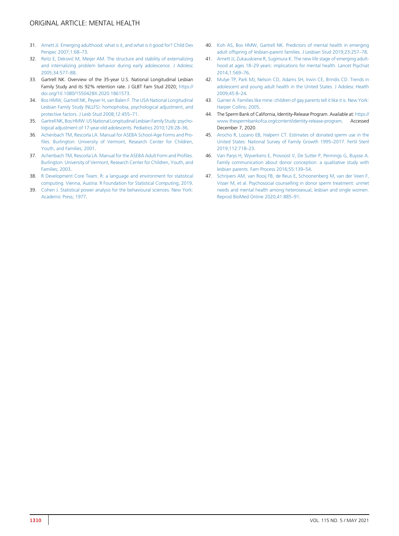- <span id="page-9-0"></span>31. [Arnett JJ. Emerging adulthood: what is it, and what is it good for? Child Dev](http://refhub.elsevier.com/S0015-0282(20)32754-0/sref31) [Perspec 2007;1:68](http://refhub.elsevier.com/S0015-0282(20)32754-0/sref31)–73.
- <span id="page-9-1"></span>32. [Reitz E, Dekovi](http://refhub.elsevier.com/S0015-0282(20)32754-0/sref32)ć [M, Meijer AM. The structure and stability of externalizing](http://refhub.elsevier.com/S0015-0282(20)32754-0/sref32) [and internalizing problem behavior during early adolescence. J Adolesc](http://refhub.elsevier.com/S0015-0282(20)32754-0/sref32) [2005;34:577](http://refhub.elsevier.com/S0015-0282(20)32754-0/sref32)–88.
- <span id="page-9-2"></span>33. Gartrell NK. Overview of the 35-year U.S. National Longitudinal Lesbian Family Study and its 92% retention rate. J GLBT Fam Stud 2020; [https://](https://doi.org/10.1080/1550428X.2020.1861573) [doi.org/10.1080/1550428X.2020.1861573.](https://doi.org/10.1080/1550428X.2020.1861573)
- <span id="page-9-3"></span>34. [Bos HMW, Gartrell NK, Peyser H, van Balen F. The USA National Longitudinal](http://refhub.elsevier.com/S0015-0282(20)32754-0/sref34) [Lesbian Family Study \(NLLFS\): homophobia, psychological adjustment, and](http://refhub.elsevier.com/S0015-0282(20)32754-0/sref34) [protective factors. J Lesb Stud 2008;12:455](http://refhub.elsevier.com/S0015-0282(20)32754-0/sref34)–71.
- <span id="page-9-4"></span>35. Gartrell NK, Bos HMW. US National Longitudinal Lesbian Family Study: psycho[logical adjustment of 17-year-old adolescents. Pediatrics 2010;126:28](http://refhub.elsevier.com/S0015-0282(20)32754-0/sref35)–36.
- <span id="page-9-5"></span>36. [Achenbach TM, Rescorla LA. Manual for ASEBA School-Age Forms and Pro](http://refhub.elsevier.com/S0015-0282(20)32754-0/sref36)fi[les. Burlington: University of Vermont, Research Center for Children,](http://refhub.elsevier.com/S0015-0282(20)32754-0/sref36) [Youth, and Families; 2001.](http://refhub.elsevier.com/S0015-0282(20)32754-0/sref36)
- <span id="page-9-6"></span>37. [Achenbach TM, Rescorla LA. Manual for the ASEBA Adult Form and Pro](http://refhub.elsevier.com/S0015-0282(20)32754-0/sref37)files. [Burlington: University of Vermont, Research Center for Children, Youth, and](http://refhub.elsevier.com/S0015-0282(20)32754-0/sref37) [Families; 2003.](http://refhub.elsevier.com/S0015-0282(20)32754-0/sref37)
- <span id="page-9-7"></span>38. [R Development Core Team. R: a language and environment for statistical](http://refhub.elsevier.com/S0015-0282(20)32754-0/sref38) [computing. Vienna, Austria: R Foundation for Statistical Computing; 2019](http://refhub.elsevier.com/S0015-0282(20)32754-0/sref38).
- <span id="page-9-8"></span>39. [Cohen J. Statistical power analysis for the behavioural sciences. New York:](http://refhub.elsevier.com/S0015-0282(20)32754-0/sref39) [Academic Press; 1977](http://refhub.elsevier.com/S0015-0282(20)32754-0/sref39).
- <span id="page-9-15"></span><span id="page-9-14"></span><span id="page-9-10"></span>40. [Koh AS, Bos HMW, Gartrell NK. Predictors of mental health in emerging](http://refhub.elsevier.com/S0015-0282(20)32754-0/sref40) [adult offspring of lesbian-parent families. J Lesbian Stud 2019;23:257](http://refhub.elsevier.com/S0015-0282(20)32754-0/sref40)–78.
- <span id="page-9-11"></span>41. [Arnett JJ, Zukauskiene R, Sugimura K. The new life stage of emerging adult](http://refhub.elsevier.com/S0015-0282(20)32754-0/sref41)hood at ages 18–[29 years: implications for mental health. Lancet Psychiat](http://refhub.elsevier.com/S0015-0282(20)32754-0/sref41) [2014;1:569](http://refhub.elsevier.com/S0015-0282(20)32754-0/sref41)–76.
- <span id="page-9-12"></span>42. [Mulye TP, Park MJ, Nelson CD, Adams SH, Irwin CE, Brindis CD. Trends in](http://refhub.elsevier.com/S0015-0282(20)32754-0/sref42) [adolescent and young adult health in the United States. J Adolesc Health](http://refhub.elsevier.com/S0015-0282(20)32754-0/sref42) [2009;45:8](http://refhub.elsevier.com/S0015-0282(20)32754-0/sref42)–24.
- <span id="page-9-13"></span>43. [Garner A. Families like mine: children of gay parents tell it like it is. New York:](http://refhub.elsevier.com/S0015-0282(20)32754-0/sref43) [Harper Collins; 2005](http://refhub.elsevier.com/S0015-0282(20)32754-0/sref43).
- <span id="page-9-16"></span>44. The Sperm Bank of California, Identity-Release Program. Available at: [https://](https://www.thespermbankofca.org/content/identity-release-program) [www.thespermbankofca.org/content/identity-release-program](https://www.thespermbankofca.org/content/identity-release-program). Accessed December 7, 2020.
- <span id="page-9-17"></span>45. [Arocho R, Lozano EB, Halpern CT. Estimates of donated sperm use in the](http://refhub.elsevier.com/S0015-0282(20)32754-0/sref45) [United States: National Survey of Family Growth 1995](http://refhub.elsevier.com/S0015-0282(20)32754-0/sref45)–2017. Fertil Steril [2019;112:718](http://refhub.elsevier.com/S0015-0282(20)32754-0/sref45)–23.
- <span id="page-9-18"></span>46. [Van Parys H, Wyverkens E, Provoost V, De Sutter P, Pennings G, Buysse A.](http://refhub.elsevier.com/S0015-0282(20)32754-0/sref46) [Family communication about donor conception: a qualitative study with](http://refhub.elsevier.com/S0015-0282(20)32754-0/sref46) [lesbian parents. Fam Process 2016;55:139](http://refhub.elsevier.com/S0015-0282(20)32754-0/sref46)–54.
- <span id="page-9-19"></span><span id="page-9-9"></span>47. [Schrijvers AM, van Rooij FB, de Reus E, Schoonenberg M, van der Veen F,](http://refhub.elsevier.com/S0015-0282(20)32754-0/sref47) [Visser M, et al. Psychosocial counselling in donor sperm treatment: unmet](http://refhub.elsevier.com/S0015-0282(20)32754-0/sref47) [needs and mental health among heterosexual, lesbian and single women.](http://refhub.elsevier.com/S0015-0282(20)32754-0/sref47) [Reprod BioMed Online 2020;41:885](http://refhub.elsevier.com/S0015-0282(20)32754-0/sref47)–91.